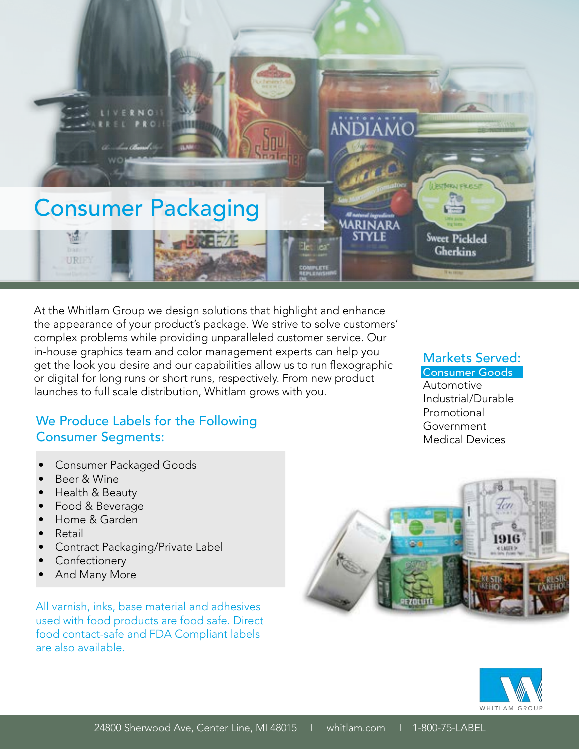

At the Whitlam Group we design solutions that highlight and enhance the appearance of your product's package. We strive to solve customers' complex problems while providing unparalleled customer service. Our in-house graphics team and color management experts can help you get the look you desire and our capabilities allow us to run flexographic or digital for long runs or short runs, respectively. From new product launches to full scale distribution, Whitlam grows with you.

#### We Produce Labels for the Following Consumer Segments:

- Consumer Packaged Goods
- Beer & Wine
- Health & Beauty
- Food & Beverage
- Home & Garden
- Retail
- Contract Packaging/Private Label
- **Confectionery**
- And Many More

All varnish, inks, base material and adhesives used with food products are food safe. Direct food contact-safe and FDA Compliant labels are also available.

# Markets Served:

## Consumer Goods

Automotive Industrial/Durable Promotional Government Medical Devices